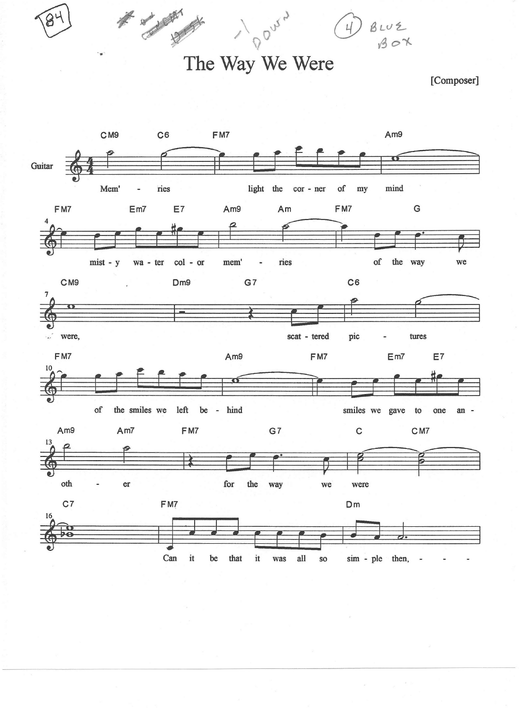The Way We Were

DOUV.

No de la Carde

[Composer]

 $Buvz$  $Bcvz$ 

 $\omega$  ,  $\omega$  ,  $\omega$